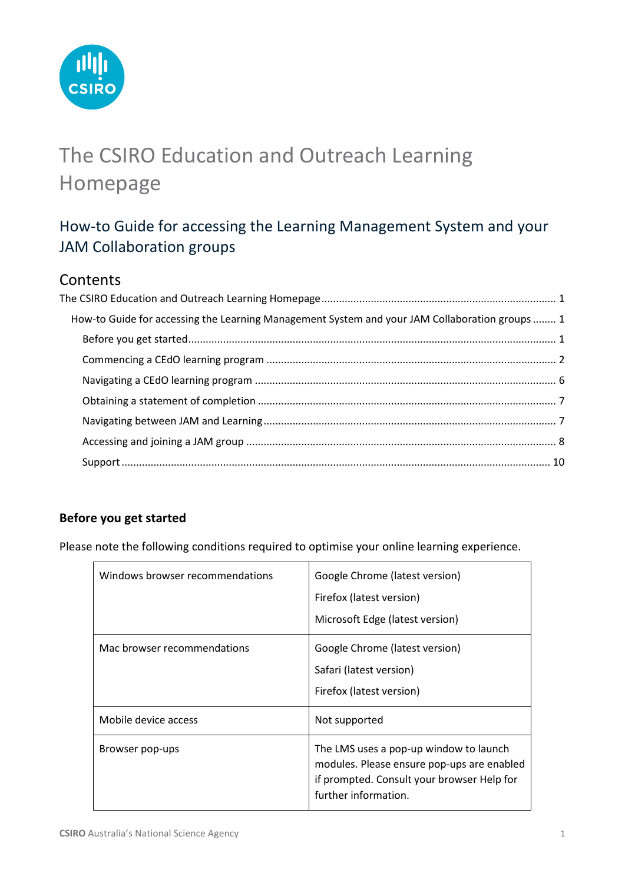

# <span id="page-0-0"></span>The CSIRO Education and Outreach Learning Homepage

## <span id="page-0-1"></span>How-to Guide for accessing the Learning Management System and your JAM Collaboration groups

## **Contents**

| How-to Guide for accessing the Learning Management System and your JAM Collaboration groups  1 |
|------------------------------------------------------------------------------------------------|
|                                                                                                |
|                                                                                                |
|                                                                                                |
|                                                                                                |
|                                                                                                |
|                                                                                                |
|                                                                                                |
|                                                                                                |

### <span id="page-0-2"></span>**Before you get started**

Please note the following conditions required to optimise your online learning experience.

| Windows browser recommendations | Google Chrome (latest version)<br>Firefox (latest version)<br>Microsoft Edge (latest version)                                                              |
|---------------------------------|------------------------------------------------------------------------------------------------------------------------------------------------------------|
| Mac browser recommendations     | Google Chrome (latest version)<br>Safari (latest version)<br>Firefox (latest version)                                                                      |
| Mobile device access            | Not supported                                                                                                                                              |
| Browser pop-ups                 | The LMS uses a pop-up window to launch<br>modules. Please ensure pop-ups are enabled<br>if prompted. Consult your browser Help for<br>further information. |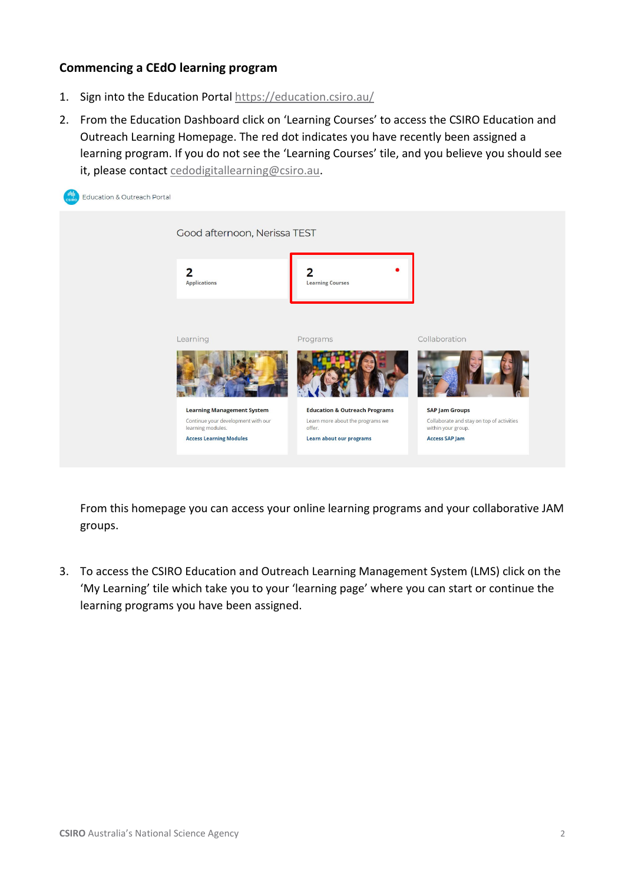#### <span id="page-1-0"></span>**Commencing a CEdO learning program**

- 1. Sign into the Education Portal<https://education.csiro.au/>
- 2. From the Education Dashboard click on 'Learning Courses' to access the CSIRO Education and Outreach Learning Homepage. The red dot indicates you have recently been assigned a learning program. If you do not see the 'Learning Courses' tile, and you believe you should see it, please contact [cedodigitallearning@csiro.au.](mailto:cedodigitallearning@csiro.au)



From this homepage you can access your online learning programs and your collaborative JAM groups.

3. To access the CSIRO Education and Outreach Learning Management System (LMS) click on the 'My Learning' tile which take you to your 'learning page' where you can start or continue the learning programs you have been assigned.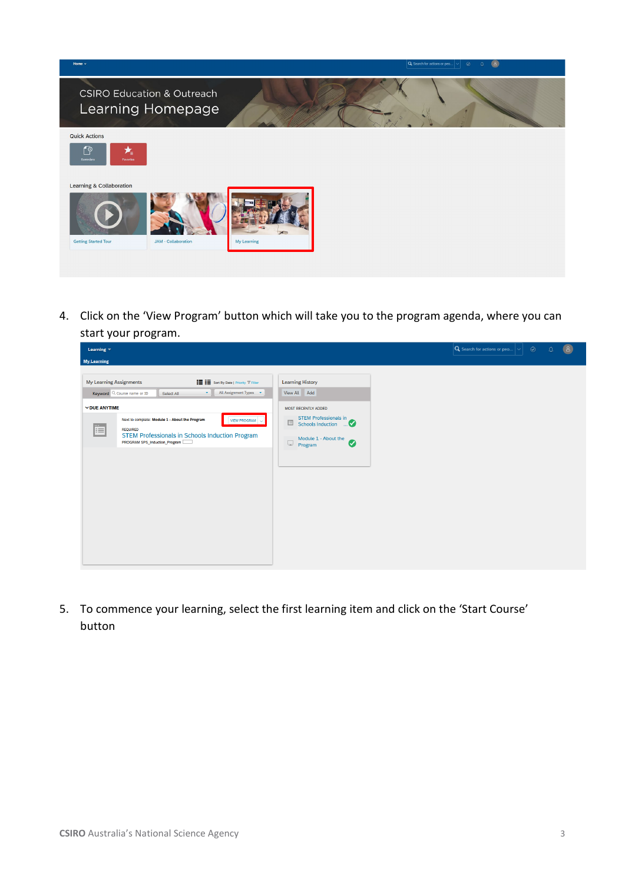

4. Click on the 'View Program' button which will take you to the program agenda, where you can start your program.



5. To commence your learning, select the first learning item and click on the 'Start Course' button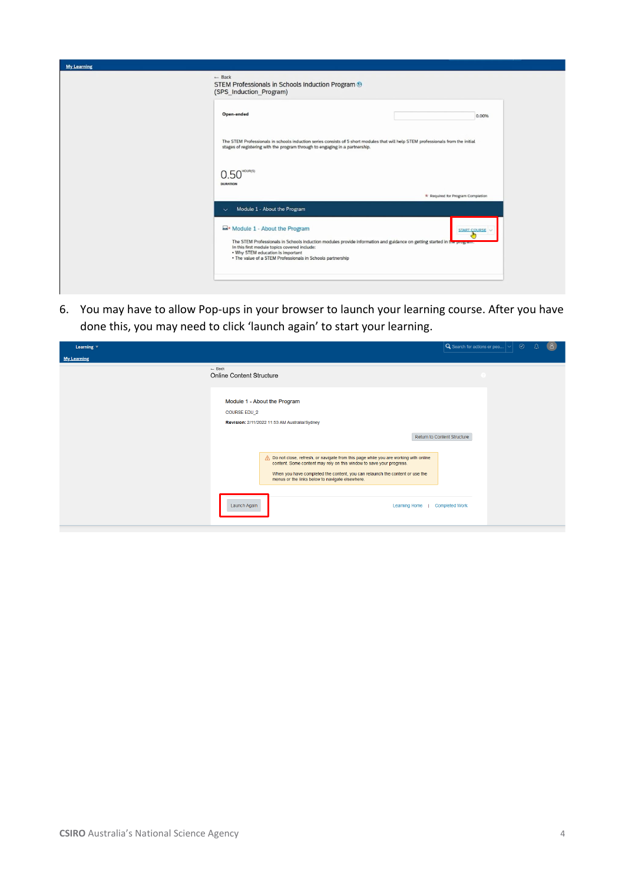| <b>My Learning</b> |                                                                                                                                                                                                                                                                                                                         |
|--------------------|-------------------------------------------------------------------------------------------------------------------------------------------------------------------------------------------------------------------------------------------------------------------------------------------------------------------------|
|                    | $-$ Back<br>STEM Professionals in Schools Induction Program ®<br>(SPS_Induction_Program)                                                                                                                                                                                                                                |
|                    | Open-ended<br>0.00%                                                                                                                                                                                                                                                                                                     |
|                    | The STEM Professionals in schools induction series consists of 5 short modules that will help STEM professionals from the initial<br>stages of registering with the program through to engaging in a partnership.                                                                                                       |
|                    | $0.50$ <sup>HOUR(S)</sup><br><b>DURATION</b>                                                                                                                                                                                                                                                                            |
|                    | * Required for Program Completion                                                                                                                                                                                                                                                                                       |
|                    | Module 1 - About the Program<br>$\checkmark$                                                                                                                                                                                                                                                                            |
|                    | Module 1 - About the Program<br>START COURSE<br>The STEM Professionals in Schools induction modules provide information and guidance on getting started in the progr<br>In this first module topics covered include:<br>. Why STEM education is important<br>. The value of a STEM Professionals in Schools partnership |
|                    |                                                                                                                                                                                                                                                                                                                         |

6. You may have to allow Pop-ups in your browser to launch your learning course. After you have done this, you may need to click 'launch again' to start your learning.

| Learning $\blacktriangledown$ |                                                                                                                                                                                                                                                                                                  | $\odot$<br>Q Search for actions or peo $ \vee $ .<br>8<br>Δ |
|-------------------------------|--------------------------------------------------------------------------------------------------------------------------------------------------------------------------------------------------------------------------------------------------------------------------------------------------|-------------------------------------------------------------|
| <b>My Learning</b>            |                                                                                                                                                                                                                                                                                                  |                                                             |
|                               | $-$ Back<br><b>Online Content Structure</b>                                                                                                                                                                                                                                                      |                                                             |
|                               | Module 1 - About the Program<br><b>COURSE EDU 2</b><br>Revision: 2/11/2022 11:53 AM Australia/Sydney                                                                                                                                                                                             |                                                             |
|                               |                                                                                                                                                                                                                                                                                                  | Return to Content Structure                                 |
|                               | A Do not close, refresh, or navigate from this page while you are working with online<br>content. Some content may rely on this window to save your progress.<br>When you have completed the content, you can relaunch the content or use the<br>menus or the links below to navigate elsewhere. |                                                             |
|                               | Launch Again<br>Learning Home                                                                                                                                                                                                                                                                    | <b>Completed Work</b>                                       |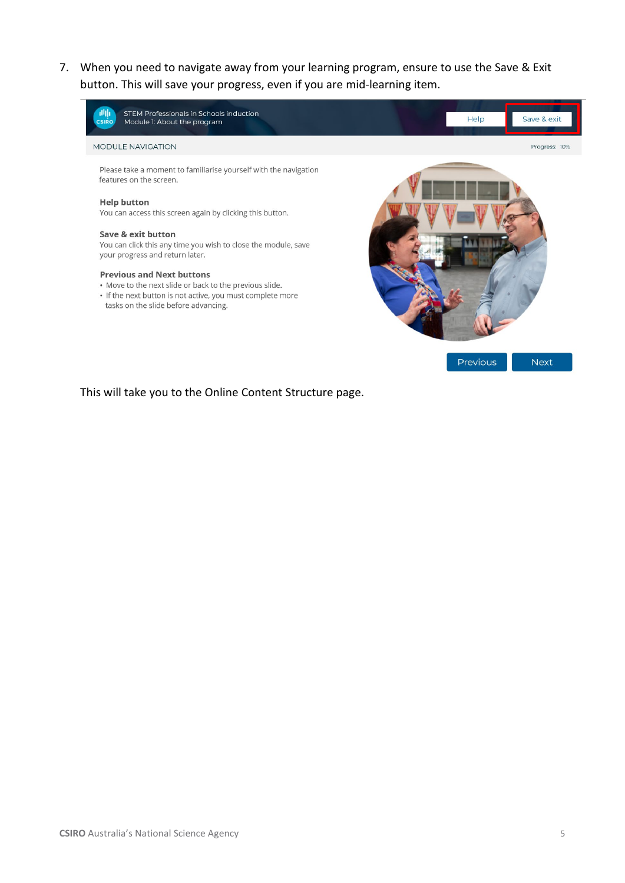7. When you need to navigate away from your learning program, ensure to use the Save & Exit button. This will save your progress, even if you are mid-learning item.



This will take you to the Online Content Structure page.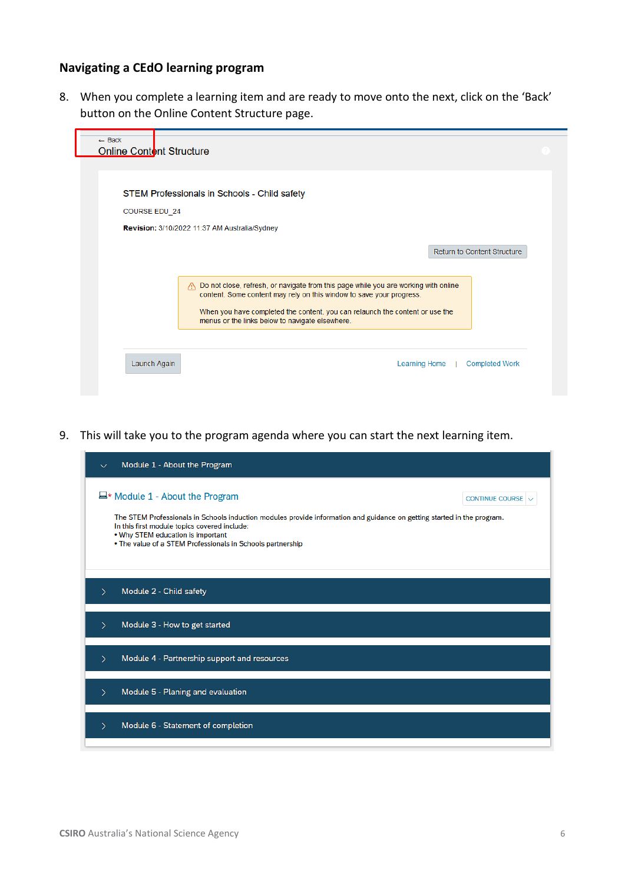#### <span id="page-5-0"></span>**Navigating a CEdO learning program**

8. When you complete a learning item and are ready to move onto the next, click on the 'Back' button on the Online Content Structure page.



9. This will take you to the program agenda where you can start the next learning item.

| Module 1 - About the Program<br>$\checkmark$                                                                                                                                                                                                                                                                                     |                        |
|----------------------------------------------------------------------------------------------------------------------------------------------------------------------------------------------------------------------------------------------------------------------------------------------------------------------------------|------------------------|
| $\blacktriangleright$ Module 1 - About the Program<br>The STEM Professionals in Schools induction modules provide information and guidance on getting started in the program.<br>In this first module topics covered include:<br>. Why STEM education is important<br>. The value of a STEM Professionals in Schools partnership | <b>CONTINUE COURSE</b> |
| Module 2 - Child safety                                                                                                                                                                                                                                                                                                          |                        |
| Module 3 - How to get started<br>>                                                                                                                                                                                                                                                                                               |                        |
| Module 4 - Partnership support and resources<br>↘                                                                                                                                                                                                                                                                                |                        |
| Module 5 - Planing and evaluation                                                                                                                                                                                                                                                                                                |                        |
| Module 6 - Statement of completion<br>↘                                                                                                                                                                                                                                                                                          |                        |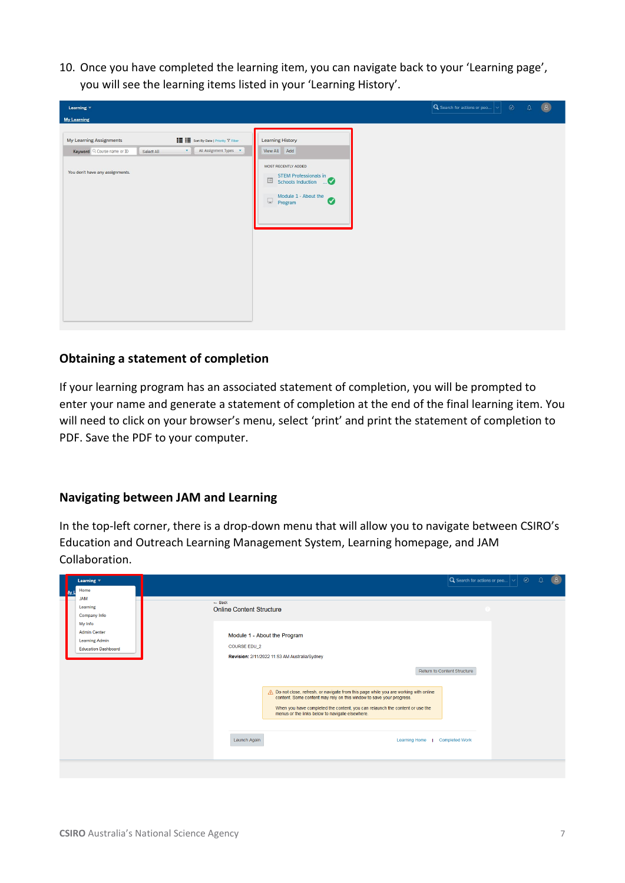10. Once you have completed the learning item, you can navigate back to your 'Learning page', you will see the learning items listed in your 'Learning History'.

#### <span id="page-6-0"></span>**Obtaining a statement of completion**

If your learning program has an associated statement of completion, you will be prompted to enter your name and generate a statement of completion at the end of the final learning item. You will need to click on your browser's menu, select 'print' and print the statement of completion to PDF. Save the PDF to your computer.

#### <span id="page-6-1"></span>**Navigating between JAM and Learning**

In the top-left corner, there is a drop-down menu that will allow you to navigate between CSIRO's Education and Outreach Learning Management System, Learning homepage, and JAM Collaboration.

| Learning $\overline{\phantom{a}}$                                                     |                                                                                                                                                                                                         | 8<br>$ \mathbf{Q} $ Search for actions or peo $ \mathbf{\diamond}  \quad \textcircled{e}$<br>$\Omega$ |
|---------------------------------------------------------------------------------------|---------------------------------------------------------------------------------------------------------------------------------------------------------------------------------------------------------|-------------------------------------------------------------------------------------------------------|
| Home                                                                                  |                                                                                                                                                                                                         |                                                                                                       |
| <b>JAM</b><br>Learning<br>Company Info                                                | $-$ Back<br><b>Online Content Structure</b>                                                                                                                                                             |                                                                                                       |
| My Info<br><b>Admin Center</b><br><b>Learning Admin</b><br><b>Education Dashboard</b> | Module 1 - About the Program<br><b>COURSE EDU 2</b><br>Revision: 2/11/2022 11:53 AM Australia/Sydney                                                                                                    |                                                                                                       |
|                                                                                       | Return to Content Structure<br>A Do not close, refresh, or navigate from this page while you are working with online                                                                                    |                                                                                                       |
|                                                                                       | content. Some content may rely on this window to save your progress.<br>When you have completed the content, you can relaunch the content or use the<br>menus or the links below to navigate elsewhere. |                                                                                                       |
|                                                                                       | Launch Again<br>Learning Home  <br><b>Completed Work</b>                                                                                                                                                |                                                                                                       |
|                                                                                       |                                                                                                                                                                                                         |                                                                                                       |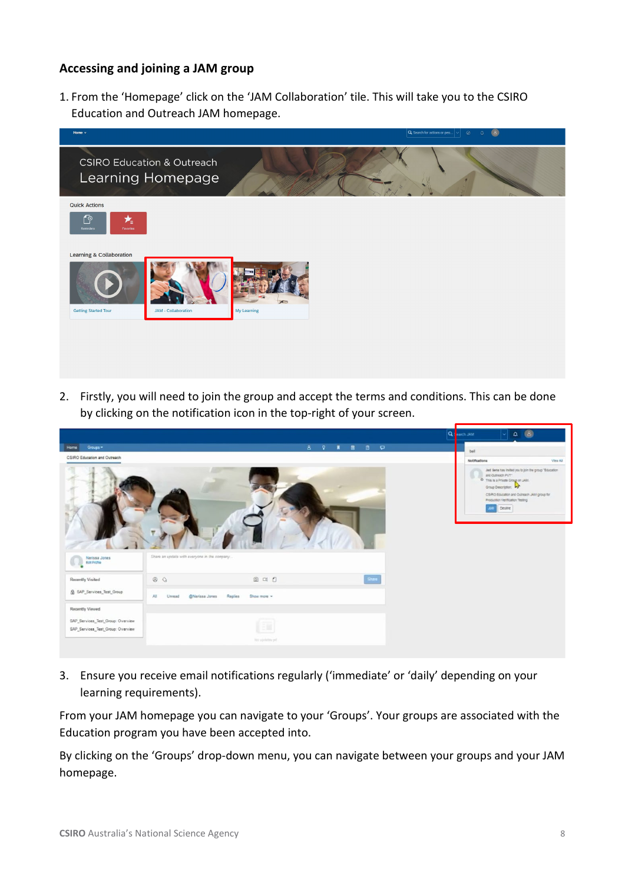#### <span id="page-7-0"></span>**Accessing and joining a JAM group**

1. From the 'Homepage' click on the 'JAM Collaboration' tile. This will take you to the CSIRO Education and Outreach JAM homepage.



2. Firstly, you will need to join the group and accept the terms and conditions. This can be done by clicking on the notification icon in the top-right of your screen.

|                                   |                                              |                        |             | Q Barch JAM   | $\circledcirc$<br>$\mathbf{r}$                                                                                                                                                                                                        |
|-----------------------------------|----------------------------------------------|------------------------|-------------|---------------|---------------------------------------------------------------------------------------------------------------------------------------------------------------------------------------------------------------------------------------|
| Groups *<br>Home                  |                                              |                        | 8 9 N B B P | bell          |                                                                                                                                                                                                                                       |
| CSIRO Education and Outreach      |                                              |                        |             | Notifications | View All                                                                                                                                                                                                                              |
|                                   |                                              |                        |             |               | Jad šena has initiati you to join the group "Education<br>and Outreach PVT".<br>O This is a Private Group on JAM.<br>Group Description: 45<br>CS/RO Equisition and Outmach JAM group for<br>Production Verification Testing<br>Destre |
| Nerissa Jones<br>Edit Profile     | Share an update with everyone in the company |                        |             |               |                                                                                                                                                                                                                                       |
| Recently Visited                  | $\circ$                                      | @ 01 0                 | Share       |               |                                                                                                                                                                                                                                       |
| <b>Q</b> SAP_Services_Test_Group  | @Nerissa Jones<br>All i<br>Unread            | Replies<br>Show more * |             |               |                                                                                                                                                                                                                                       |
| <b>Recently Viewed</b>            |                                              |                        |             |               |                                                                                                                                                                                                                                       |
| SAP_Services_Test_Group: Overview |                                              |                        |             |               |                                                                                                                                                                                                                                       |
| SAP_Services_Test_Group: Overview |                                              |                        |             |               |                                                                                                                                                                                                                                       |
|                                   |                                              | No opining yet         |             |               |                                                                                                                                                                                                                                       |

3. Ensure you receive email notifications regularly ('immediate' or 'daily' depending on your learning requirements).

From your JAM homepage you can navigate to your 'Groups'. Your groups are associated with the Education program you have been accepted into.

By clicking on the 'Groups' drop-down menu, you can navigate between your groups and your JAM homepage.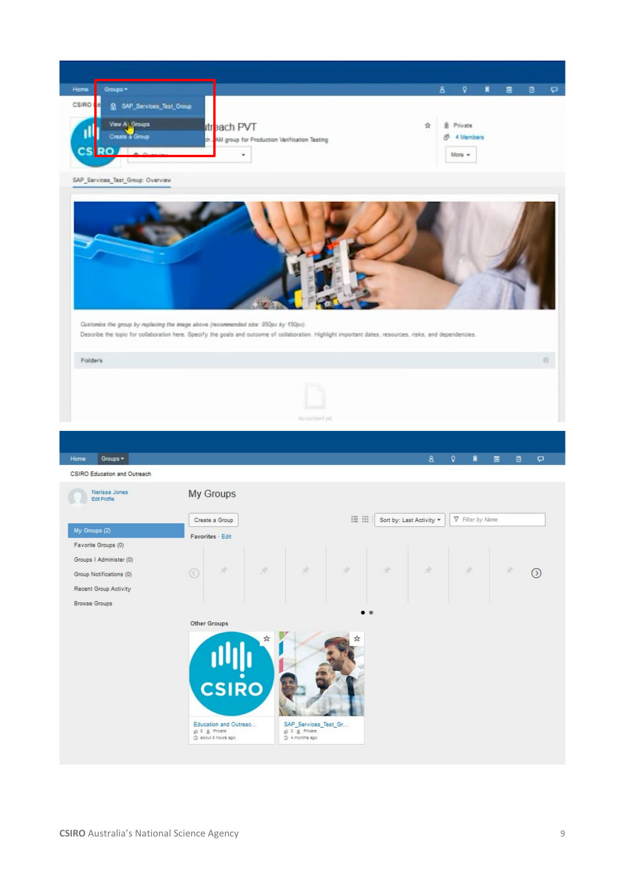